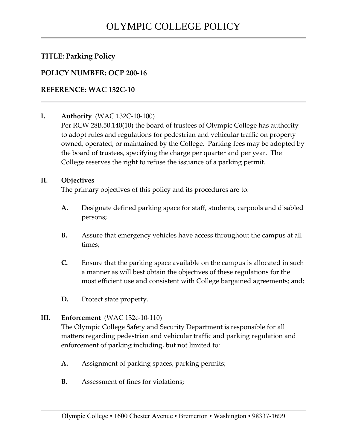## **TITLE: Parking Policy**

## **POLICY NUMBER: OCP 200-16**

## **REFERENCE: WAC 132C-10**

## **I. Authority** (WAC 132C-10-100)

Per RCW 28B.50.140(10) the board of trustees of Olympic College has authority to adopt rules and regulations for pedestrian and vehicular traffic on property owned, operated, or maintained by the College. Parking fees may be adopted by the board of trustees, specifying the charge per quarter and per year. The College reserves the right to refuse the issuance of a parking permit.

#### **II. Objectives**

The primary objectives of this policy and its procedures are to:

- **A.** Designate defined parking space for staff, students, carpools and disabled persons;
- **B.** Assure that emergency vehicles have access throughout the campus at all times;
- **C.** Ensure that the parking space available on the campus is allocated in such a manner as will best obtain the objectives of these regulations for the most efficient use and consistent with College bargained agreements; and;
- **D.** Protect state property.

## **III. Enforcement** (WAC 132c-10-110)

The Olympic College Safety and Security Department is responsible for all matters regarding pedestrian and vehicular traffic and parking regulation and enforcement of parking including, but not limited to:

- **A.** Assignment of parking spaces, parking permits;
- **B.** Assessment of fines for violations;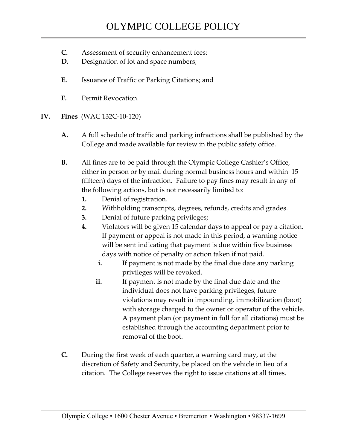- **C.** Assessment of security enhancement fees:
- **D.** Designation of lot and space numbers;
- **E.** Issuance of Traffic or Parking Citations; and
- **F.** Permit Revocation.
- **IV. Fines** (WAC 132C-10-120)
	- **A.** A full schedule of traffic and parking infractions shall be published by the College and made available for review in the public safety office.
	- **B.** All fines are to be paid through the Olympic College Cashier's Office, either in person or by mail during normal business hours and within 15 (fifteen) days of the infraction. Failure to pay fines may result in any of the following actions, but is not necessarily limited to:
		- **1.** Denial of registration.
		- **2.** Withholding transcripts, degrees, refunds, credits and grades.
		- **3.** Denial of future parking privileges;
		- **4.** Violators will be given 15 calendar days to appeal or pay a citation. If payment or appeal is not made in this period, a warning notice will be sent indicating that payment is due within five business days with notice of penalty or action taken if not paid.
			- **i.** If payment is not made by the final due date any parking privileges will be revoked.
			- **ii.** If payment is not made by the final due date and the individual does not have parking privileges, future violations may result in impounding, immobilization (boot) with storage charged to the owner or operator of the vehicle. A payment plan (or payment in full for all citations) must be established through the accounting department prior to removal of the boot.
	- **C.** During the first week of each quarter, a warning card may, at the discretion of Safety and Security, be placed on the vehicle in lieu of a citation. The College reserves the right to issue citations at all times.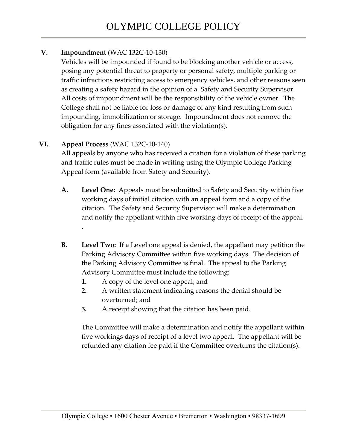## **V. Impoundment** (WAC 132C-10-130)

Vehicles will be impounded if found to be blocking another vehicle or access, posing any potential threat to property or personal safety, multiple parking or traffic infractions restricting access to emergency vehicles, and other reasons seen as creating a safety hazard in the opinion of a Safety and Security Supervisor. All costs of impoundment will be the responsibility of the vehicle owner. The College shall not be liable for loss or damage of any kind resulting from such impounding, immobilization or storage. Impoundment does not remove the obligation for any fines associated with the violation(s).

## **VI. Appeal Process** (WAC 132C-10-140)

All appeals by anyone who has received a citation for a violation of these parking and traffic rules must be made in writing using the Olympic College Parking Appeal form (available from Safety and Security).

- **A. Level One:** Appeals must be submitted to Safety and Security within five working days of initial citation with an appeal form and a copy of the citation. The Safety and Security Supervisor will make a determination and notify the appellant within five working days of receipt of the appeal. .
- **B. Level Two:** If a Level one appeal is denied, the appellant may petition the Parking Advisory Committee within five working days. The decision of the Parking Advisory Committee is final. The appeal to the Parking Advisory Committee must include the following:
	- **1.** A copy of the level one appeal; and
	- **2.** A written statement indicating reasons the denial should be overturned; and
	- **3.** A receipt showing that the citation has been paid.

The Committee will make a determination and notify the appellant within five workings days of receipt of a level two appeal. The appellant will be refunded any citation fee paid if the Committee overturns the citation(s).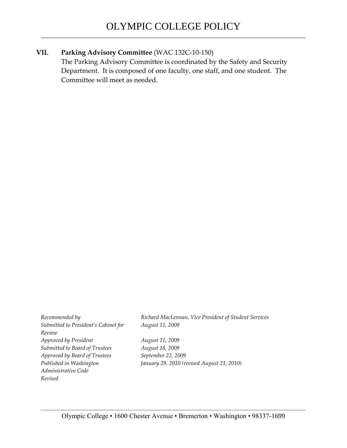#### **VII. Parking Advisory Committee** (WAC 132C-10-150)

The Parking Advisory Committee is coordinated by the Safety and Security Department. It is composed of one faculty, one staff, and one student. The Committee will meet as needed.

*Submitted to President's Cabinet for Review Approved by President August 11, 2009 Submitted to Board of Trustees August 18, 2009 Approved by Board of Trustees September 22, 2009 Published in Washington Administrative Code Revised* 

*Recommended by Richard MacLennan, Vice President of Student Services August 11, 2009*

*January 29, 2010 (revised August 21, 2010)*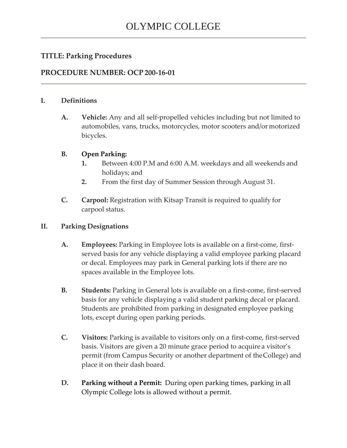## **TITLE: Parking Procedures**

## **PROCEDURE NUMBER: OCP 200-16-01**

#### **I. Definitions**

**A. Vehicle:** Any and all self-propelled vehicles including but not limited to automobiles, vans, trucks, motorcycles, motor scooters and/or motorized bicycles.

#### **B. Open Parking:**

- **1.** Between 4:00 P.M and 6:00 A.M. weekdays and all weekends and holidays; and
- **2.** From the first day of Summer Session through August 31.
- **C. Carpool:** Registration with Kitsap Transit is required to qualify for carpool status.

#### **II. Parking Designations**

- **A. Employees:** Parking in Employee lots is available on a first-come, firstserved basis for any vehicle displaying a valid employee parking placard or decal. Employees may park in General parking lots if there are no spaces available in the Employee lots.
- **B.** Students: Parking in General lots is available on a first-come, first-served basis for any vehicle displaying a valid student parking decal or placard. Students are prohibited from parking in designated employee parking lots, except during open parking periods.
- **C. Visitors:** Parking is available to visitors only on a first-come, first-served basis. Visitors are given a 20 minute grace period to acquire a visitor's permit (from Campus Security or another department of theCollege) and place it on their dash board.
- **D. Parking without a Permit:** During open parking times, parking in all Olympic College lots is allowed without a permit.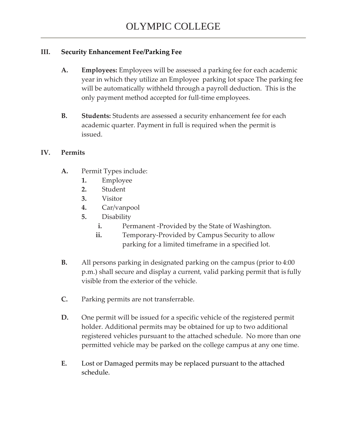## **III. Security Enhancement Fee/Parking Fee**

- **A. Employees:** Employees will be assessed a parking fee for each academic year in which they utilize an Employee parking lot space The parking fee will be automatically withheld through a payroll deduction. This is the only payment method accepted for full-time employees.
- **B. Students:** Students are assessed a security enhancement fee for each academic quarter. Payment in full is required when the permit is issued.

#### **IV. Permits**

- **A.** Permit Types include:
	- **1.** Employee
	- **2.** Student
	- **3.** Visitor
	- **4.** Car/vanpool
	- **5.** Disability
		- **i.** Permanent -Provided by the State of Washington.
		- **ii.** Temporary-Provided by Campus Security to allow parking for a limited timeframe in a specified lot.
- **B.** All persons parking in designated parking on the campus (prior to 4:00 p.m.) shall secure and display a current, valid parking permit that is fully visible from the exterior of the vehicle.
- **C.** Parking permits are not transferrable.
- **D.** One permit will be issued for a specific vehicle of the registered permit holder. Additional permits may be obtained for up to two additional registered vehicles pursuant to the attached schedule. No more than one permitted vehicle may be parked on the college campus at any one time.
- **E.** Lost or Damaged permits may be replaced pursuant to the attached schedule.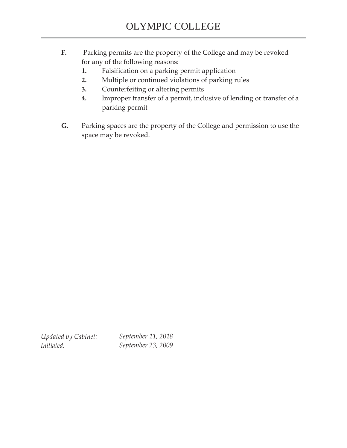- **F.** Parking permits are the property of the College and may be revoked for any of the following reasons:
	- **1.** Falsification on a parking permit application
	- **2.** Multiple or continued violations of parking rules
	- **3.** Counterfeiting or altering permits
	- **4.** Improper transfer of a permit, inclusive of lending or transfer of a parking permit
- **G.** Parking spaces are the property of the College and permission to use the space may be revoked.

*Updated by Cabinet: Initiated:* 

*September 11, 2018 September 23, 2009*